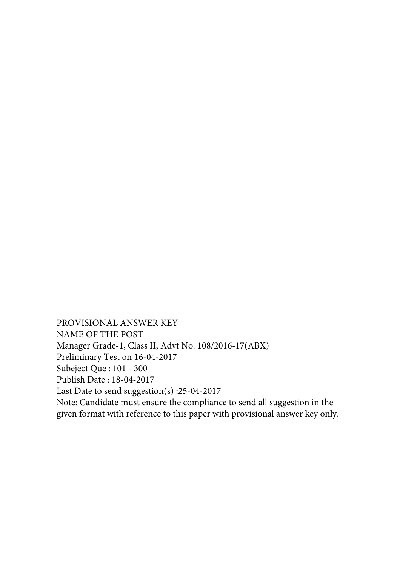PROVISIONAL ANSWER KEY NAME OF THE POST Manager Grade-1, Class II, Advt No. 108/2016-17(ABX) Preliminary Test on 16-04-2017 Subeject Que : 101 - 300 Publish Date : 18-04-2017 Last Date to send suggestion(s) :25-04-2017 Note: Candidate must ensure the compliance to send all suggestion in the given format with reference to this paper with provisional answer key only.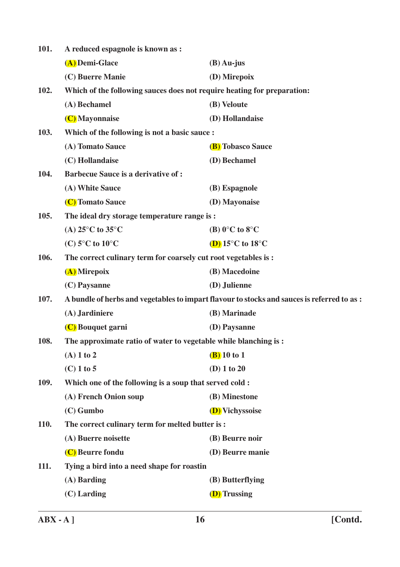| 101. | A reduced espagnole is known as :                                       |                                                                                            |
|------|-------------------------------------------------------------------------|--------------------------------------------------------------------------------------------|
|      | (A) Demi-Glace                                                          | $(B)$ Au-jus                                                                               |
|      | (C) Buerre Manie                                                        | (D) Mirepoix                                                                               |
| 102. | Which of the following sauces does not require heating for preparation: |                                                                                            |
|      | (A) Bechamel                                                            | (B) Veloute                                                                                |
|      | (C) Mayonnaise                                                          | (D) Hollandaise                                                                            |
| 103. | Which of the following is not a basic sauce:                            |                                                                                            |
|      | (A) Tomato Sauce                                                        | (B) Tobasco Sauce                                                                          |
|      | (C) Hollandaise                                                         | (D) Bechamel                                                                               |
| 104. | <b>Barbecue Sauce is a derivative of:</b>                               |                                                                                            |
|      | (A) White Sauce                                                         | (B) Espagnole                                                                              |
|      | (C) Tomato Sauce                                                        | (D) Mayonaise                                                                              |
| 105. | The ideal dry storage temperature range is :                            |                                                                                            |
|      | (A) $25^{\circ}$ C to $35^{\circ}$ C                                    | (B) $0^{\circ}$ C to $8^{\circ}$ C                                                         |
|      | (C) $5^{\circ}$ C to $10^{\circ}$ C                                     | (D) $15^{\circ}$ C to $18^{\circ}$ C                                                       |
| 106. | The correct culinary term for coarsely cut root vegetables is :         |                                                                                            |
|      | (A) Mirepoix                                                            | (B) Macedoine                                                                              |
|      | (C) Paysanne                                                            | (D) Julienne                                                                               |
| 107. |                                                                         | A bundle of herbs and vegetables to impart flavour to stocks and sauces is referred to as: |
|      | (A) Jardiniere                                                          | (B) Marinade                                                                               |
|      | (C) Bouquet garni                                                       | (D) Paysanne                                                                               |
| 108. | The approximate ratio of water to vegetable while blanching is:         |                                                                                            |
|      | $(A)$ 1 to 2                                                            | $(B)$ 10 to 1                                                                              |
|      | $(C)$ 1 to 5                                                            | $(D)$ 1 to 20                                                                              |
| 109. | Which one of the following is a soup that served cold :                 |                                                                                            |
|      | (A) French Onion soup                                                   | (B) Minestone                                                                              |
|      | $(C)$ Gumbo                                                             | (D) Vichyssoise                                                                            |
| 110. | The correct culinary term for melted butter is :                        |                                                                                            |
|      | (A) Buerre noisette                                                     | (B) Beurre noir                                                                            |
|      | (C) Beurre fondu                                                        | (D) Beurre manie                                                                           |
| 111. | Tying a bird into a need shape for roastin                              |                                                                                            |
|      | (A) Barding                                                             | (B) Butterflying                                                                           |
|      | $(C)$ Larding                                                           | (D) Trussing                                                                               |
|      |                                                                         |                                                                                            |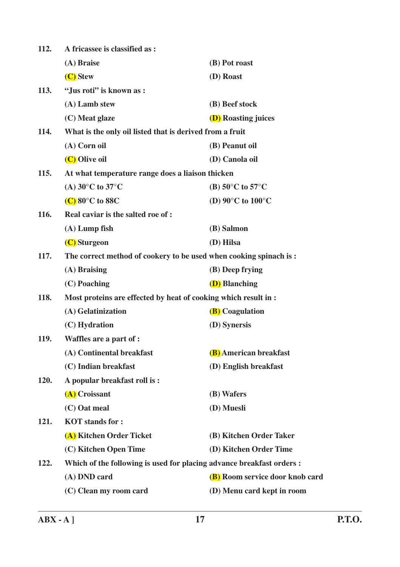| 112. | A fricassee is classified as :                                        |                                        |  |
|------|-----------------------------------------------------------------------|----------------------------------------|--|
|      | (A) Braise                                                            | (B) Pot roast                          |  |
|      | (C) Stew                                                              | (D) Roast                              |  |
| 113. | "Jus roti" is known as :                                              |                                        |  |
|      | (A) Lamb stew                                                         | (B) Beef stock                         |  |
|      | (C) Meat glaze                                                        | <b>(D)</b> Roasting juices             |  |
| 114. | What is the only oil listed that is derived from a fruit              |                                        |  |
|      | (A) Corn oil                                                          | (B) Peanut oil                         |  |
|      | (C) Olive oil                                                         | (D) Canola oil                         |  |
| 115. | At what temperature range does a liaison thicken                      |                                        |  |
|      | (A) $30^{\circ}$ C to $37^{\circ}$ C                                  | (B) $50^{\circ}$ C to $57^{\circ}$ C   |  |
|      | $(C)$ 80 $\degree$ C to 88C                                           | (D) $90^{\circ}$ C to $100^{\circ}$ C  |  |
| 116. | Real caviar is the salted roe of :                                    |                                        |  |
|      | $(A)$ Lump fish                                                       | (B) Salmon                             |  |
|      | (C) Sturgeon                                                          | (D) Hilsa                              |  |
| 117. | The correct method of cookery to be used when cooking spinach is:     |                                        |  |
|      | (A) Braising                                                          | (B) Deep frying                        |  |
|      | $(C)$ Poaching                                                        | <b>(D)</b> Blanching                   |  |
| 118. | Most proteins are effected by heat of cooking which result in :       |                                        |  |
|      | (A) Gelatinization                                                    | <b>(B)</b> Coagulation                 |  |
|      | (C) Hydration                                                         | (D) Synersis                           |  |
| 119. | Waffles are a part of :                                               |                                        |  |
|      | (A) Continental breakfast                                             | <b>(B)</b> American breakfast          |  |
|      | (C) Indian breakfast                                                  | (D) English breakfast                  |  |
| 120. | A popular breakfast roll is:                                          |                                        |  |
|      | (A) Croissant                                                         | (B) Wafers                             |  |
|      | (C) Oat meal                                                          | (D) Muesli                             |  |
| 121. | <b>KOT</b> stands for :                                               |                                        |  |
|      | (A) Kitchen Order Ticket                                              | (B) Kitchen Order Taker                |  |
|      | (C) Kitchen Open Time                                                 | (D) Kitchen Order Time                 |  |
| 122. | Which of the following is used for placing advance breakfast orders : |                                        |  |
|      | (A) DND card                                                          | <b>(B)</b> Room service door knob card |  |
|      | (C) Clean my room card                                                | (D) Menu card kept in room             |  |
|      |                                                                       |                                        |  |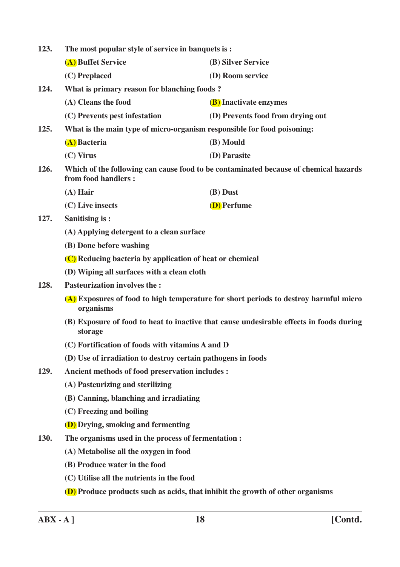| 123.                                                                                               | The most popular style of service in banquets is:                                     |                                                                                      |  |
|----------------------------------------------------------------------------------------------------|---------------------------------------------------------------------------------------|--------------------------------------------------------------------------------------|--|
|                                                                                                    | (A) Buffet Service                                                                    | (B) Silver Service                                                                   |  |
|                                                                                                    | (C) Preplaced                                                                         | (D) Room service                                                                     |  |
| 124.                                                                                               | What is primary reason for blanching foods?                                           |                                                                                      |  |
|                                                                                                    | (A) Cleans the food                                                                   | <b>(B)</b> Inactivate enzymes                                                        |  |
|                                                                                                    | (C) Prevents pest infestation                                                         | (D) Prevents food from drying out                                                    |  |
| 125.                                                                                               | What is the main type of micro-organism responsible for food poisoning:               |                                                                                      |  |
|                                                                                                    | (A) Bacteria                                                                          | (B) Mould                                                                            |  |
|                                                                                                    | $(C)$ Virus                                                                           | (D) Parasite                                                                         |  |
| 126.                                                                                               | from food handlers:                                                                   | Which of the following can cause food to be contaminated because of chemical hazards |  |
|                                                                                                    | $(A)$ Hair                                                                            | (B) Dust                                                                             |  |
|                                                                                                    | (C) Live insects                                                                      | (D) Perfume                                                                          |  |
| 127.                                                                                               | <b>Sanitising is:</b>                                                                 |                                                                                      |  |
|                                                                                                    | (A) Applying detergent to a clean surface                                             |                                                                                      |  |
|                                                                                                    | (B) Done before washing                                                               |                                                                                      |  |
|                                                                                                    | (C) Reducing bacteria by application of heat or chemical                              |                                                                                      |  |
|                                                                                                    | (D) Wiping all surfaces with a clean cloth                                            |                                                                                      |  |
| 128.                                                                                               | <b>Pasteurization involves the:</b>                                                   |                                                                                      |  |
|                                                                                                    | organisms                                                                             | (A) Exposures of food to high temperature for short periods to destroy harmful micro |  |
| (B) Exposure of food to heat to inactive that cause undesirable effects in foods during<br>storage |                                                                                       |                                                                                      |  |
|                                                                                                    | (C) Fortification of foods with vitamins A and D                                      |                                                                                      |  |
|                                                                                                    | (D) Use of irradiation to destroy certain pathogens in foods                          |                                                                                      |  |
| 129.                                                                                               | Ancient methods of food preservation includes :                                       |                                                                                      |  |
|                                                                                                    | (A) Pasteurizing and sterilizing                                                      |                                                                                      |  |
|                                                                                                    | (B) Canning, blanching and irradiating                                                |                                                                                      |  |
|                                                                                                    | (C) Freezing and boiling                                                              |                                                                                      |  |
|                                                                                                    | (D) Drying, smoking and fermenting                                                    |                                                                                      |  |
| 130.                                                                                               | The organisms used in the process of fermentation :                                   |                                                                                      |  |
|                                                                                                    | (A) Metabolise all the oxygen in food                                                 |                                                                                      |  |
|                                                                                                    | (B) Produce water in the food                                                         |                                                                                      |  |
|                                                                                                    | (C) Utilise all the nutrients in the food                                             |                                                                                      |  |
|                                                                                                    | <b>(D)</b> Produce products such as acids, that inhibit the growth of other organisms |                                                                                      |  |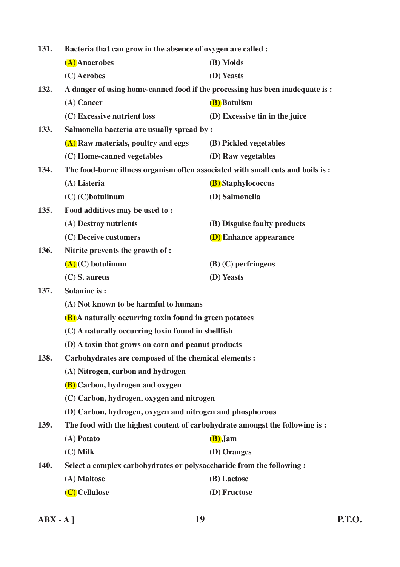| 131.        | Bacteria that can grow in the absence of oxygen are called :                    |                                |  |
|-------------|---------------------------------------------------------------------------------|--------------------------------|--|
|             | (A) Anaerobes                                                                   | (B) Molds                      |  |
|             | (C) Aerobes                                                                     | (D) Yeasts                     |  |
| 132.        | A danger of using home-canned food if the processing has been inadequate is :   |                                |  |
|             | (A) Cancer                                                                      | (B) Botulism                   |  |
|             | (C) Excessive nutrient loss                                                     | (D) Excessive tin in the juice |  |
| 133.        | Salmonella bacteria are usually spread by :                                     |                                |  |
|             | (A) Raw materials, poultry and eggs                                             | (B) Pickled vegetables         |  |
|             | (C) Home-canned vegetables                                                      | (D) Raw vegetables             |  |
| 134.        | The food-borne illness organism often associated with small cuts and boils is : |                                |  |
|             | (A) Listeria                                                                    | <b>(B)</b> Staphylococcus      |  |
|             | $(C)$ (C) botulinum                                                             | (D) Salmonella                 |  |
| 135.        | Food additives may be used to:                                                  |                                |  |
|             | (A) Destroy nutrients                                                           | (B) Disguise faulty products   |  |
|             | (C) Deceive customers                                                           | <b>(D)</b> Enhance appearance  |  |
| 136.        | Nitrite prevents the growth of :                                                |                                |  |
|             | $(\mathbf{A})$ (C) botulinum                                                    | $(B)$ (C) perfringens          |  |
|             | $(C)$ S. aureus                                                                 | (D) Yeasts                     |  |
| 137.        | <b>Solanine is:</b>                                                             |                                |  |
|             | (A) Not known to be harmful to humans                                           |                                |  |
|             | <b>(B)</b> A naturally occurring toxin found in green potatoes                  |                                |  |
|             | (C) A naturally occurring toxin found in shellfish                              |                                |  |
|             | (D) A toxin that grows on corn and peanut products                              |                                |  |
| 138.        | Carbohydrates are composed of the chemical elements :                           |                                |  |
|             | (A) Nitrogen, carbon and hydrogen                                               |                                |  |
|             | <b>(B)</b> Carbon, hydrogen and oxygen                                          |                                |  |
|             | (C) Carbon, hydrogen, oxygen and nitrogen                                       |                                |  |
|             | (D) Carbon, hydrogen, oxygen and nitrogen and phosphorous                       |                                |  |
| 139.        | The food with the highest content of carbohydrate amongst the following is:     |                                |  |
|             | (A) Potato                                                                      | (B) Jam                        |  |
|             | $(C)$ Milk                                                                      | (D) Oranges                    |  |
| <b>140.</b> | Select a complex carbohydrates or polysaccharide from the following:            |                                |  |
|             | (A) Maltose                                                                     | (B) Lactose                    |  |
|             | (C) Cellulose                                                                   | (D) Fructose                   |  |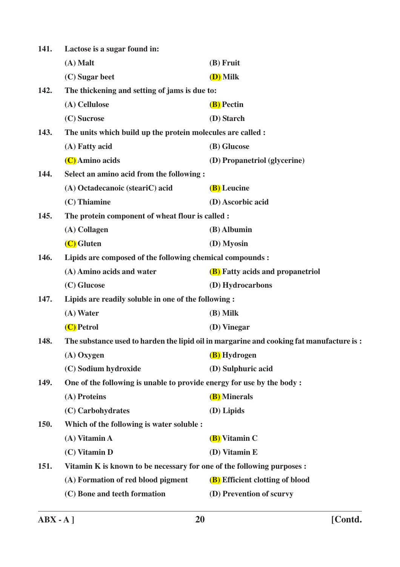| 141.        | Lactose is a sugar found in:                                           |                                                                                         |
|-------------|------------------------------------------------------------------------|-----------------------------------------------------------------------------------------|
|             | $(A)$ Malt                                                             | (B) Fruit                                                                               |
|             | (C) Sugar beet                                                         | (D) Milk                                                                                |
| 142.        | The thickening and setting of jams is due to:                          |                                                                                         |
|             | (A) Cellulose                                                          | (B) Pectin                                                                              |
|             | (C) Sucrose                                                            | (D) Starch                                                                              |
| 143.        | The units which build up the protein molecules are called :            |                                                                                         |
|             | (A) Fatty acid                                                         | (B) Glucose                                                                             |
|             | (C) Amino acids                                                        | (D) Propanetriol (glycerine)                                                            |
| 144.        | Select an amino acid from the following :                              |                                                                                         |
|             | (A) Octadecanoic (steariC) acid                                        | (B) Leucine                                                                             |
|             | (C) Thiamine                                                           | (D) Ascorbic acid                                                                       |
| 145.        | The protein component of wheat flour is called :                       |                                                                                         |
|             | (A) Collagen                                                           | (B) Albumin                                                                             |
|             | (C) Gluten                                                             | (D) Myosin                                                                              |
| <b>146.</b> | Lipids are composed of the following chemical compounds :              |                                                                                         |
|             | (A) Amino acids and water                                              | <b>(B)</b> Fatty acids and propanetriol                                                 |
|             | (C) Glucose                                                            | (D) Hydrocarbons                                                                        |
| 147.        | Lipids are readily soluble in one of the following :                   |                                                                                         |
|             | $(A)$ Water                                                            | (B) Milk                                                                                |
|             | (C) Petrol                                                             | (D) Vinegar                                                                             |
| 148.        |                                                                        | The substance used to harden the lipid oil in margarine and cooking fat manufacture is: |
|             | $(A)$ Oxygen                                                           | (B) Hydrogen                                                                            |
|             | (C) Sodium hydroxide                                                   | (D) Sulphuric acid                                                                      |
| 149.        | One of the following is unable to provide energy for use by the body:  |                                                                                         |
|             | (A) Proteins                                                           | (B) Minerals                                                                            |
|             | (C) Carbohydrates                                                      | (D) Lipids                                                                              |
| 150.        | Which of the following is water soluble :                              |                                                                                         |
|             | (A) Vitamin A                                                          | (B) Vitamin C                                                                           |
|             | (C) Vitamin D                                                          | (D) Vitamin E                                                                           |
| <b>151.</b> | Vitamin K is known to be necessary for one of the following purposes : |                                                                                         |
|             | (A) Formation of red blood pigment                                     | (B) Efficient clotting of blood                                                         |
|             | (C) Bone and teeth formation                                           | (D) Prevention of scurvy                                                                |
|             |                                                                        |                                                                                         |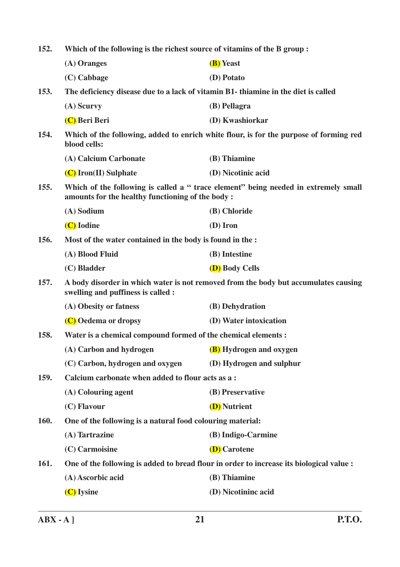**152. Which of the following is the richest source of vitamins of the B group : (A) Oranges (B) Yeast (C) Cabbage (D) Potato 153. The deficiency disease due to a lack of vitamin B1- thiamine in the diet is called (A) Scurvy (B) Pellagra (C) Beri Beri (D) Kwashiorkar 154. Which of the following, added to enrich white flour, is for the purpose of forming red blood cells: (A) Calcium Carbonate (B) Thiamine (C) Iron(II) Sulphate (D) Nicotinic acid 155. Which of the following is called a " trace element" being needed in extremely small amounts for the healthy functioning of the body : (A) Sodium (B) Chloride (C) Iodine (D) Iron 156. Most of the water contained in the body is found in the : (A) Blood Fluid (B) Intestine (C) Bladder (D) Body Cells 157. A body disorder in which water is not removed from the body but accumulates causing swelling and puffiness is called : (A) Obesity or fatness (B) Dehydration (C) Oedema or dropsy (D) Water intoxication 158. Water is a chemical compound formed of the chemical elements : (A) Carbon and hydrogen (B) Hydrogen and oxygen (C) Carbon, hydrogen and oxygen (D) Hydrogen and sulphur 159. Calcium carbonate when added to flour acts as a : (A) Colouring agent (B) Preservative (C) Flavour (D) Nutrient 160. One of the following is a natural food colouring material: (A) Tartrazine (B) Indigo-Carmine (C) Carmoisine (D) Carotene 161. One of the following is added to bread flour in order to increase its biological value : (A) Ascorbic acid (B) Thiamine (C) Iysine (D) Nicotininc acid**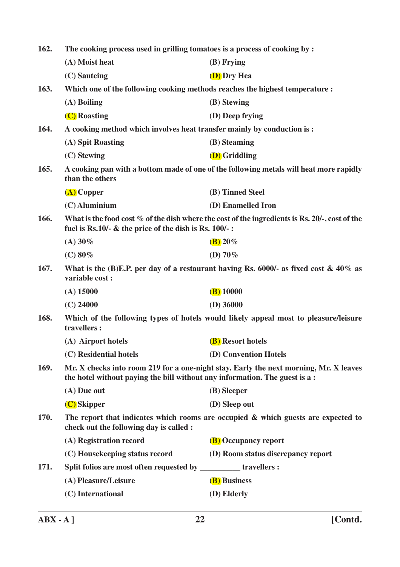| 162.        | The cooking process used in grilling tomatoes is a process of cooking by :                                                                                          |                                                                                                   |
|-------------|---------------------------------------------------------------------------------------------------------------------------------------------------------------------|---------------------------------------------------------------------------------------------------|
|             | (A) Moist heat                                                                                                                                                      | $(B)$ Frying                                                                                      |
|             | (C) Sauteing                                                                                                                                                        | <b>(D)</b> Dry Hea                                                                                |
| 163.        | Which one of the following cooking methods reaches the highest temperature :                                                                                        |                                                                                                   |
|             | $(A)$ Boiling                                                                                                                                                       | (B) Stewing                                                                                       |
|             | (C) Roasting                                                                                                                                                        | (D) Deep frying                                                                                   |
| 164.        | A cooking method which involves heat transfer mainly by conduction is:                                                                                              |                                                                                                   |
|             | (A) Spit Roasting                                                                                                                                                   | (B) Steaming                                                                                      |
|             | (C) Stewing                                                                                                                                                         | <b>(D)</b> Griddling                                                                              |
| 165.        | than the others                                                                                                                                                     | A cooking pan with a bottom made of one of the following metals will heat more rapidly            |
|             | $(A)$ Copper                                                                                                                                                        | (B) Tinned Steel                                                                                  |
|             | $(C)$ Aluminium                                                                                                                                                     | (D) Enamelled Iron                                                                                |
| 166.        | fuel is Rs.10/- $\&$ the price of the dish is Rs. 100/-:                                                                                                            | What is the food cost $\%$ of the dish where the cost of the ingredients is Rs. 20/-, cost of the |
|             | $(A) 30\%$                                                                                                                                                          | $\left(\frac{\mathbf{B}}{\mathbf{B}}\right)20\%$                                                  |
|             | $(C) 80\%$                                                                                                                                                          | (D) $70\%$                                                                                        |
| 167.        | variable cost:                                                                                                                                                      | What is the (B)E.P. per day of a restaurant having Rs. 6000/- as fixed cost $\&$ 40% as           |
|             | $(A)$ 15000                                                                                                                                                         | $(B)$ 10000                                                                                       |
|             | $(C)$ 24000                                                                                                                                                         | $(D)$ 36000                                                                                       |
| 168.        | Which of the following types of hotels would likely appeal most to pleasure/leisure<br>travellers:                                                                  |                                                                                                   |
|             | (A) Airport hotels                                                                                                                                                  | (B) Resort hotels                                                                                 |
|             | (C) Residential hotels                                                                                                                                              | (D) Convention Hotels                                                                             |
| 169.        | Mr. X checks into room 219 for a one-night stay. Early the next morning, Mr. X leaves<br>the hotel without paying the bill without any information. The guest is a: |                                                                                                   |
|             | (A) Due out                                                                                                                                                         | (B) Sleeper                                                                                       |
|             | (C) Skipper                                                                                                                                                         | (D) Sleep out                                                                                     |
| <b>170.</b> | check out the following day is called :                                                                                                                             | The report that indicates which rooms are occupied $\&$ which guests are expected to              |
|             | (A) Registration record                                                                                                                                             | <b>(B)</b> Occupancy report                                                                       |
|             | (C) Housekeeping status record                                                                                                                                      | (D) Room status discrepancy report                                                                |
| 171.        | Split folios are most often requested by ___________ travellers :                                                                                                   |                                                                                                   |
|             | (A) Pleasure/Leisure                                                                                                                                                | (B) Business                                                                                      |
|             | (C) International                                                                                                                                                   | (D) Elderly                                                                                       |
|             |                                                                                                                                                                     |                                                                                                   |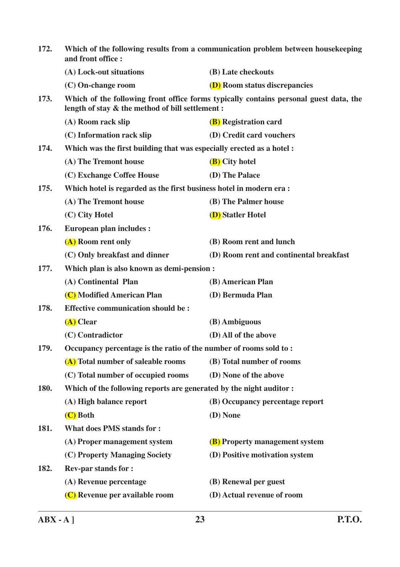| 172. | Which of the following results from a communication problem between housekeeping<br>and front office : |                                                                                       |
|------|--------------------------------------------------------------------------------------------------------|---------------------------------------------------------------------------------------|
|      | (A) Lock-out situations                                                                                | (B) Late checkouts                                                                    |
|      | (C) On-change room                                                                                     | <b>(D)</b> Room status discrepancies                                                  |
| 173. | length of stay & the method of bill settlement :                                                       | Which of the following front office forms typically contains personal guest data, the |
|      | (A) Room rack slip                                                                                     | <b>(B)</b> Registration card                                                          |
|      | (C) Information rack slip                                                                              | (D) Credit card vouchers                                                              |
| 174. | Which was the first building that was especially erected as a hotel :                                  |                                                                                       |
|      | (A) The Tremont house                                                                                  | (B) City hotel                                                                        |
|      | (C) Exchange Coffee House                                                                              | (D) The Palace                                                                        |
| 175. | Which hotel is regarded as the first business hotel in modern era:                                     |                                                                                       |
|      | (A) The Tremont house                                                                                  | (B) The Palmer house                                                                  |
|      | (C) City Hotel                                                                                         | <b>(D)</b> Statler Hotel                                                              |
| 176. | <b>European plan includes:</b>                                                                         |                                                                                       |
|      | (A) Room rent only                                                                                     | (B) Room rent and lunch                                                               |
|      | (C) Only breakfast and dinner                                                                          | (D) Room rent and continental breakfast                                               |
| 177. | Which plan is also known as demi-pension :                                                             |                                                                                       |
|      | (A) Continental Plan                                                                                   | (B) American Plan                                                                     |
|      | (C) Modified American Plan                                                                             | (D) Bermuda Plan                                                                      |
| 178. | <b>Effective communication should be:</b>                                                              |                                                                                       |
|      | $(A)$ Clear                                                                                            | (B) Ambiguous                                                                         |
|      | (C) Contradictor                                                                                       | (D) All of the above                                                                  |
| 179. | Occupancy percentage is the ratio of the number of rooms sold to:                                      |                                                                                       |
|      | (A) Total number of saleable rooms                                                                     | (B) Total number of rooms                                                             |
|      | (C) Total number of occupied rooms                                                                     | (D) None of the above                                                                 |
| 180. | Which of the following reports are generated by the night auditor:                                     |                                                                                       |
|      | (A) High balance report                                                                                | (B) Occupancy percentage report                                                       |
|      | (C) Both                                                                                               | (D) None                                                                              |
| 181. | <b>What does PMS stands for:</b>                                                                       |                                                                                       |
|      | (A) Proper management system                                                                           | <b>(B)</b> Property management system                                                 |
|      | (C) Property Managing Society                                                                          | (D) Positive motivation system                                                        |
| 182. | <b>Rev-par stands for:</b>                                                                             |                                                                                       |
|      | (A) Revenue percentage                                                                                 | (B) Renewal per guest                                                                 |
|      | (C) Revenue per available room                                                                         | (D) Actual revenue of room                                                            |
|      |                                                                                                        |                                                                                       |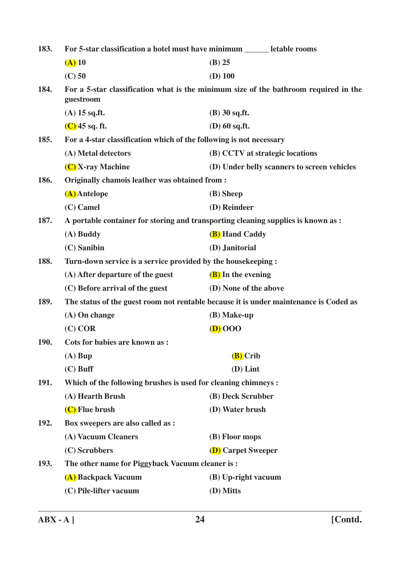| 183.        | For 5-star classification a hotel must have minimum ______ letable rooms                          |                                 |                                             |
|-------------|---------------------------------------------------------------------------------------------------|---------------------------------|---------------------------------------------|
|             | $(A)$ 10                                                                                          | $(B)$ 25                        |                                             |
|             | $(C)$ 50                                                                                          | $(D)$ 100                       |                                             |
| 184.        | For a 5-star classification what is the minimum size of the bathroom required in the<br>guestroom |                                 |                                             |
|             | $(A)$ 15 sq.ft.                                                                                   | $(B)$ 30 sq.ft.                 |                                             |
|             | $(C)$ 45 sq. ft.                                                                                  | (D) 60 sq.ft.                   |                                             |
| 185.        | For a 4-star classification which of the following is not necessary                               |                                 |                                             |
|             | (A) Metal detectors                                                                               | (B) CCTV at strategic locations |                                             |
|             | (C) X-ray Machine                                                                                 |                                 | (D) Under belly scanners to screen vehicles |
| 186.        | Originally chamois leather was obtained from:                                                     |                                 |                                             |
|             | (A) Antelope                                                                                      | (B) Sheep                       |                                             |
|             | $(C)$ Camel                                                                                       | (D) Reindeer                    |                                             |
| 187.        | A portable container for storing and transporting cleaning supplies is known as :                 |                                 |                                             |
|             | $(A)$ Buddy                                                                                       | <b>(B)</b> Hand Caddy           |                                             |
|             | (C) Sanibin                                                                                       | (D) Janitorial                  |                                             |
| 188.        | Turn-down service is a service provided by the house keeping:                                     |                                 |                                             |
|             | (A) After departure of the guest                                                                  | (B) In the evening              |                                             |
|             | (C) Before arrival of the guest                                                                   | (D) None of the above           |                                             |
| 189.        | The status of the guest room not rentable because it is under maintenance is Coded as             |                                 |                                             |
|             | $(A)$ On change                                                                                   | $(B)$ Make-up                   |                                             |
|             | $(C)$ COR                                                                                         | $(D)$ 000                       |                                             |
| <b>190.</b> | Cots for babies are known as:                                                                     |                                 |                                             |
|             | $(A)$ Bup                                                                                         | (B) Crib                        |                                             |
|             | $(C)$ Buff                                                                                        | $(D)$ Lint                      |                                             |
| <b>191.</b> | Which of the following brushes is used for cleaning chimneys :                                    |                                 |                                             |
|             | (A) Hearth Brush                                                                                  | (B) Deck Scrubber               |                                             |
|             | (C) Flue brush                                                                                    | (D) Water brush                 |                                             |
| 192.        | Box sweepers are also called as :                                                                 |                                 |                                             |
|             | (A) Vacuum Cleaners                                                                               | (B) Floor mops                  |                                             |
|             | (C) Scrubbers                                                                                     | <b>(D)</b> Carpet Sweeper       |                                             |
| 193.        | The other name for Piggyback Vacuum cleaner is:                                                   |                                 |                                             |
|             | (A) Backpack Vacuum                                                                               | (B) Up-right vacuum             |                                             |
|             | (C) Pile-lifter vacuum                                                                            | (D) Mitts                       |                                             |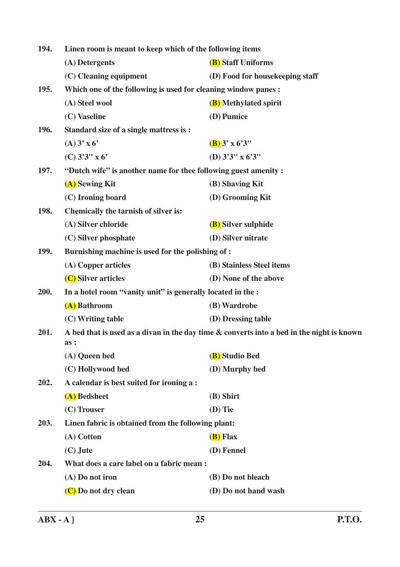| 194.        | Linen room is meant to keep which of the following items       |                                                                                           |
|-------------|----------------------------------------------------------------|-------------------------------------------------------------------------------------------|
|             | (A) Detergents                                                 | (B) Staff Uniforms                                                                        |
|             | (C) Cleaning equipment                                         | (D) Food for housekeeping staff                                                           |
| 195.        | Which one of the following is used for cleaning window panes : |                                                                                           |
|             | (A) Steel wool                                                 | (B) Methylated spirit                                                                     |
|             | (C) Vaseline                                                   | (D) Pumice                                                                                |
| <b>196.</b> | Standard size of a single mattress is :                        |                                                                                           |
|             | (A) 3' x 6'                                                    | $(B)$ 3' x 6'3"                                                                           |
|             | $(C)$ 3'3" x 6'                                                | (D) $3'3''$ x $6'3''$                                                                     |
| 197.        | "Dutch wife" is another name for thee following guest amenity: |                                                                                           |
|             | (A) Sewing Kit                                                 | (B) Shaving Kit                                                                           |
|             | (C) Ironing board                                              | (D) Grooming Kit                                                                          |
| <b>198.</b> | Chemically the tarnish of silver is:                           |                                                                                           |
|             | (A) Silver chloride                                            | <b>(B)</b> Silver sulphide                                                                |
|             | (C) Silver phosphate                                           | (D) Silver nitrate                                                                        |
| 199.        | Burnishing machine is used for the polishing of :              |                                                                                           |
|             | (A) Copper articles                                            | (B) Stainless Steel items                                                                 |
|             | (C) Silver articles                                            | (D) None of the above                                                                     |
| 200.        | In a hotel room "vanity unit" is generally located in the :    |                                                                                           |
|             | (A) Bathroom                                                   | (B) Wardrobe                                                                              |
|             | (C) Writing table                                              | (D) Dressing table                                                                        |
| 201.        | as:                                                            | A bed that is used as a divan in the day time & converts into a bed in the night is known |
|             | (A) Queen bed                                                  | <b>(B)</b> Studio Bed                                                                     |
|             | (C) Hollywood bed                                              | (D) Murphy bed                                                                            |
| 202.        | A calendar is best suited for ironing a:                       |                                                                                           |
|             | (A) Bedsheet                                                   | (B) Shirt                                                                                 |
|             | (C) Trouser                                                    | $(D)$ Tie                                                                                 |
| 203.        | Linen fabric is obtained from the following plant:             |                                                                                           |
|             | (A) Cotton                                                     | ( <b>B</b> ) Flax                                                                         |
|             | $(C)$ Jute                                                     | (D) Fennel                                                                                |
| 204.        | What does a care label on a fabric mean:                       |                                                                                           |
|             | (A) Do not iron                                                | (B) Do not bleach                                                                         |
|             | (C) Do not dry clean                                           | (D) Do not hand wash                                                                      |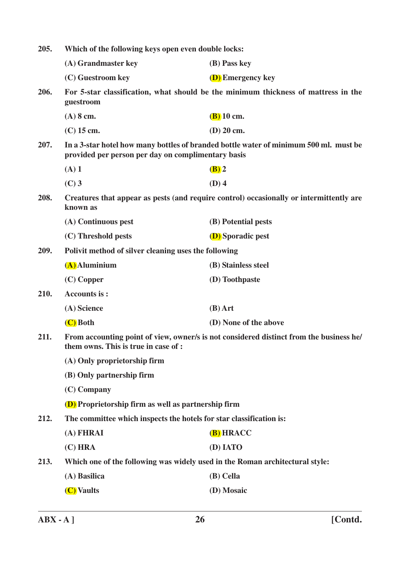| 205. | Which of the following keys open even double locks:                                                                             |                                                                                         |
|------|---------------------------------------------------------------------------------------------------------------------------------|-----------------------------------------------------------------------------------------|
|      | (A) Grandmaster key                                                                                                             | (B) Pass key                                                                            |
|      | (C) Guestroom key                                                                                                               | <b>(D)</b> Emergency key                                                                |
| 206. | guestroom                                                                                                                       | For 5-star classification, what should be the minimum thickness of mattress in the      |
|      | $(A)$ 8 cm.                                                                                                                     | $(B)$ 10 cm.                                                                            |
|      | $(C)$ 15 cm.                                                                                                                    | $(D)$ 20 cm.                                                                            |
| 207. | provided per person per day on complimentary basis                                                                              | In a 3-star hotel how many bottles of branded bottle water of minimum 500 ml. must be   |
|      | $(A)$ 1                                                                                                                         | $(B)$ 2                                                                                 |
|      | $(C)$ 3                                                                                                                         | $(D)$ 4                                                                                 |
| 208. | known as                                                                                                                        | Creatures that appear as pests (and require control) occasionally or intermittently are |
|      | (A) Continuous pest                                                                                                             | (B) Potential pests                                                                     |
|      | (C) Threshold pests                                                                                                             | <b>(D)</b> Sporadic pest                                                                |
| 209. | Polivit method of silver cleaning uses the following                                                                            |                                                                                         |
|      | (A) Aluminium                                                                                                                   | (B) Stainless steel                                                                     |
|      | $(C)$ Copper                                                                                                                    | (D) Toothpaste                                                                          |
| 210. | <b>Accounts is:</b>                                                                                                             |                                                                                         |
|      | (A) Science                                                                                                                     | $(B)$ Art                                                                               |
|      | (C) Both                                                                                                                        | (D) None of the above                                                                   |
| 211. | From accounting point of view, owner/s is not considered distinct from the business he/<br>them owns. This is true in case of : |                                                                                         |
|      | (A) Only proprietorship firm                                                                                                    |                                                                                         |
|      | (B) Only partnership firm                                                                                                       |                                                                                         |
|      | $(C)$ Company                                                                                                                   |                                                                                         |
|      | <b>(D)</b> Proprietorship firm as well as partnership firm                                                                      |                                                                                         |
| 212. | The committee which inspects the hotels for star classification is:                                                             |                                                                                         |
|      | (A) FHRAI                                                                                                                       | (B) HRACC                                                                               |
|      | (C) HRA                                                                                                                         | (D) IATO                                                                                |
| 213. | Which one of the following was widely used in the Roman architectural style:                                                    |                                                                                         |
|      | (A) Basilica                                                                                                                    | (B) Cella                                                                               |
|      | (C) Vaults                                                                                                                      | (D) Mosaic                                                                              |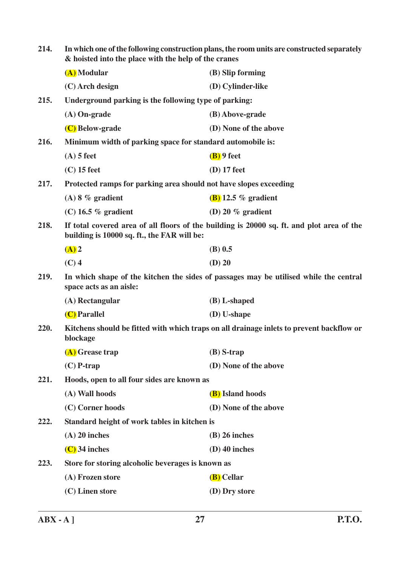| 214. | In which one of the following construction plans, the room units are constructed separately<br>& hoisted into the place with the help of the cranes |                                                                                           |
|------|-----------------------------------------------------------------------------------------------------------------------------------------------------|-------------------------------------------------------------------------------------------|
|      | (A) Modular                                                                                                                                         | (B) Slip forming                                                                          |
|      | $(C)$ Arch design                                                                                                                                   | (D) Cylinder-like                                                                         |
| 215. | Underground parking is the following type of parking:                                                                                               |                                                                                           |
|      | $(A)$ On-grade                                                                                                                                      | (B) Above-grade                                                                           |
|      | (C) Below-grade                                                                                                                                     | (D) None of the above                                                                     |
| 216. | Minimum width of parking space for standard automobile is:                                                                                          |                                                                                           |
|      | $(A)$ 5 feet                                                                                                                                        | $(B)$ 9 feet                                                                              |
|      | $(C)$ 15 feet                                                                                                                                       | $(D)$ 17 feet                                                                             |
| 217. | Protected ramps for parking area should not have slopes exceeding                                                                                   |                                                                                           |
|      | $(A)$ 8 % gradient                                                                                                                                  | $(B)$ 12.5 % gradient                                                                     |
|      | $(C)$ 16.5 % gradient                                                                                                                               | (D) 20 $%$ gradient                                                                       |
| 218. | building is 10000 sq. ft., the FAR will be:                                                                                                         | If total covered area of all floors of the building is 20000 sq. ft. and plot area of the |
|      | $(A)$ 2                                                                                                                                             | $(B)$ 0.5                                                                                 |
|      | $(C)$ 4                                                                                                                                             | $(D)$ 20                                                                                  |
| 219. | space acts as an aisle:                                                                                                                             | In which shape of the kitchen the sides of passages may be utilised while the central     |
|      | (A) Rectangular                                                                                                                                     | $(B)$ L-shaped                                                                            |
|      | (C) Parallel                                                                                                                                        | $(D)$ U-shape                                                                             |
| 220. | Kitchens should be fitted with which traps on all drainage inlets to prevent backflow or<br>blockage                                                |                                                                                           |
|      | (A) Grease trap                                                                                                                                     | $(B)$ S-trap                                                                              |
|      | $(C)$ P-trap                                                                                                                                        | (D) None of the above                                                                     |
| 221. | Hoods, open to all four sides are known as                                                                                                          |                                                                                           |
|      | (A) Wall hoods                                                                                                                                      | (B) Island hoods                                                                          |
|      | (C) Corner hoods                                                                                                                                    | (D) None of the above                                                                     |
| 222. | Standard height of work tables in kitchen is                                                                                                        |                                                                                           |
|      | $(A)$ 20 inches                                                                                                                                     | $(B)$ 26 inches                                                                           |
|      | $(C)$ 34 inches                                                                                                                                     | $(D)$ 40 inches                                                                           |
| 223. | Store for storing alcoholic beverages is known as                                                                                                   |                                                                                           |
|      | (A) Frozen store                                                                                                                                    | (B) Cellar                                                                                |
|      | (C) Linen store                                                                                                                                     | (D) Dry store                                                                             |
|      |                                                                                                                                                     |                                                                                           |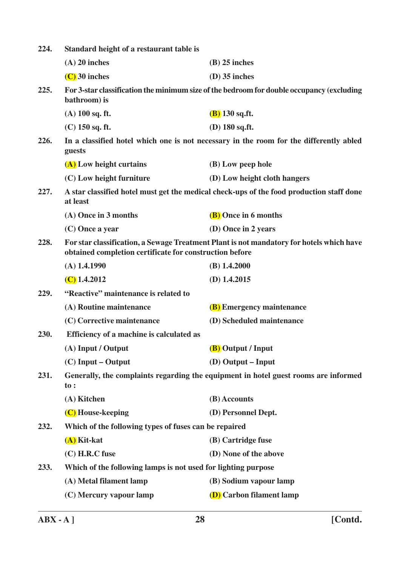| 224. | Standard height of a restaurant table is                                                                                                            |                                                                                           |  |
|------|-----------------------------------------------------------------------------------------------------------------------------------------------------|-------------------------------------------------------------------------------------------|--|
|      | $(A)$ 20 inches                                                                                                                                     | $(B)$ 25 inches                                                                           |  |
|      | $(C)$ 30 inches                                                                                                                                     | $(D)$ 35 inches                                                                           |  |
| 225. | bathroom) is                                                                                                                                        | For 3-star classification the minimum size of the bedroom for double occupancy (excluding |  |
|      | $(A)$ 100 sq. ft.                                                                                                                                   | $(B)$ 130 sq.ft.                                                                          |  |
|      | $(C)$ 150 sq. ft.                                                                                                                                   | $(D)$ 180 sq.ft.                                                                          |  |
| 226. | guests                                                                                                                                              | In a classified hotel which one is not necessary in the room for the differently abled    |  |
|      | (A) Low height curtains                                                                                                                             | (B) Low peep hole                                                                         |  |
|      | (C) Low height furniture                                                                                                                            | (D) Low height cloth hangers                                                              |  |
| 227. | at least                                                                                                                                            | A star classified hotel must get the medical check-ups of the food production staff done  |  |
|      | (A) Once in 3 months                                                                                                                                | (B) Once in 6 months                                                                      |  |
|      | $(C)$ Once a year                                                                                                                                   | (D) Once in 2 years                                                                       |  |
| 228. | For star classification, a Sewage Treatment Plant is not mandatory for hotels which have<br>obtained completion certificate for construction before |                                                                                           |  |
|      | $(A)$ 1.4.1990                                                                                                                                      | $(B)$ 1.4.2000                                                                            |  |
|      | $(C)$ 1.4.2012                                                                                                                                      | $(D)$ 1.4.2015                                                                            |  |
| 229. | "Reactive" maintenance is related to                                                                                                                |                                                                                           |  |
|      | (A) Routine maintenance                                                                                                                             | <b>(B)</b> Emergency maintenance                                                          |  |
|      | (C) Corrective maintenance                                                                                                                          | (D) Scheduled maintenance                                                                 |  |
| 230. | Efficiency of a machine is calculated as                                                                                                            |                                                                                           |  |
|      | (A) Input / Output                                                                                                                                  | (B) Output / Input                                                                        |  |
|      | $(C)$ Input – Output                                                                                                                                | (D) Output – Input                                                                        |  |
| 231. | $\mathbf{to}$ :                                                                                                                                     | Generally, the complaints regarding the equipment in hotel guest rooms are informed       |  |
|      | (A) Kitchen                                                                                                                                         | (B) Accounts                                                                              |  |
|      | (C) House-keeping                                                                                                                                   | (D) Personnel Dept.                                                                       |  |
| 232. | Which of the following types of fuses can be repaired                                                                                               |                                                                                           |  |
|      | $(A)$ Kit-kat                                                                                                                                       | (B) Cartridge fuse                                                                        |  |
|      | (C) H.R.C fuse                                                                                                                                      | (D) None of the above                                                                     |  |
| 233. | Which of the following lamps is not used for lighting purpose                                                                                       |                                                                                           |  |
|      | (A) Metal filament lamp                                                                                                                             | (B) Sodium vapour lamp                                                                    |  |
|      | (C) Mercury vapour lamp                                                                                                                             | (D) Carbon filament lamp                                                                  |  |
|      |                                                                                                                                                     |                                                                                           |  |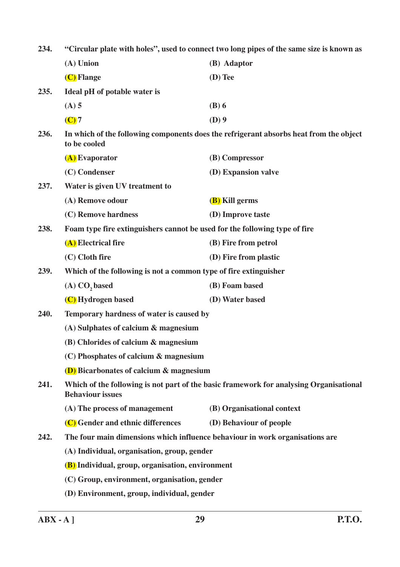**234. "Circular plate with holes", used to connect two long pipes of the same size is known as (A) Union (B) Adaptor (C) Flange (D) Tee 235. Ideal pH of potable water is (A) 5 (B) 6 (C) 7 (D) 9 236. In which of the following components does the refrigerant absorbs heat from the object to be cooled (A) Evaporator (B) Compressor (C) Condenser (D) Expansion valve 237. Water is given UV treatment to (A) Remove odour (B) Kill germs (C) Remove hardness (D) Improve taste 238. Foam type fire extinguishers cannot be used for the following type of fire (A) Electrical fire (B) Fire from petrol (C) Cloth fire (D) Fire from plastic 239. Which of the following is not a common type of fire extinguisher (A) CO2 based (B) Foam based (C) Hydrogen based (D) Water based 240. Temporary hardness of water is caused by (A) Sulphates of calcium & magnesium (B) Chlorides of calcium & magnesium (C) Phosphates of calcium & magnesium (D) Bicarbonates of calcium & magnesium 241. Which of the following is not part of the basic framework for analysing Organisational Behaviour issues (A) The process of management (B) Organisational context (C) Gender and ethnic differences (D) Behaviour of people 242. The four main dimensions which influence behaviour in work organisations are (A) Individual, organisation, group, gender (B) Individual, group, organisation, environment (C) Group, environment, organisation, gender**

**(D) Environment, group, individual, gender**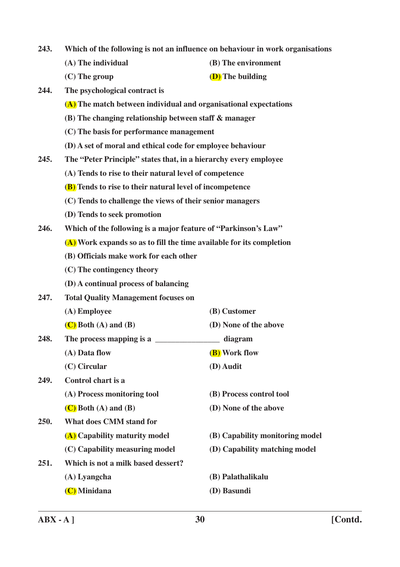| 243. |  |  |  | Which of the following is not an influence on behaviour in work organisations |
|------|--|--|--|-------------------------------------------------------------------------------|
|      |  |  |  |                                                                               |

- 
- **(A) The individual (B) The environment**
- **(C) The group (D) The building**
- **244. The psychological contract is**
	- **(A) The match between individual and organisational expectations**
	- **(B) The changing relationship between staff & manager**
	- **(C) The basis for performance management**
	- **(D) A set of moral and ethical code for employee behaviour**
- **245. The "Peter Principle" states that, in a hierarchy every employee**
	- **(A) Tends to rise to their natural level of competence**
	- **(B) Tends to rise to their natural level of incompetence**
	- **(C) Tends to challenge the views of their senior managers**
	- **(D) Tends to seek promotion**
- **246. Which of the following is a major feature of "Parkinson's Law"**
	- **(A) Work expands so as to fill the time available for its completion**
	- **(B) Officials make work for each other**
	- **(C) The contingency theory**
	- **(D) A continual process of balancing**
- **247. Total Quality Management focuses on**
- **(A) Employee (B) Customer (C) Both (A) and (B) (D) None of the above 248. The process mapping is a \_\_\_\_\_\_\_\_\_\_\_\_\_\_\_\_ diagram (A) Data flow (B) Work flow (C) Circular (D) Audit 249. Control chart is a (A) Process monitoring tool (B) Process control tool (C) Both (A) and (B) (D) None of the above 250. What does CMM stand for (A) Capability maturity model (B) Capability monitoring model (C) Capability measuring model (D) Capability matching model 251. Which is not a milk based dessert? (A) Lyangcha (B) Palathalikalu**
	- **(C) Minidana (D) Basundi**
		-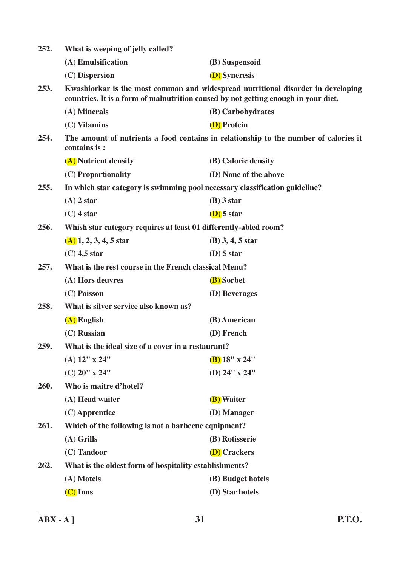| 252. | What is weeping of jelly called?                                                                                                                                       |                                                                                      |  |  |  |
|------|------------------------------------------------------------------------------------------------------------------------------------------------------------------------|--------------------------------------------------------------------------------------|--|--|--|
|      | (A) Emulsification                                                                                                                                                     | (B) Suspensoid                                                                       |  |  |  |
|      | (C) Dispersion                                                                                                                                                         | <b>(D)</b> Syneresis                                                                 |  |  |  |
| 253. | Kwashiorkar is the most common and widespread nutritional disorder in developing<br>countries. It is a form of malnutrition caused by not getting enough in your diet. |                                                                                      |  |  |  |
|      | (A) Minerals                                                                                                                                                           | (B) Carbohydrates                                                                    |  |  |  |
|      | (C) Vitamins                                                                                                                                                           | (D) Protein                                                                          |  |  |  |
| 254. | contains is:                                                                                                                                                           | The amount of nutrients a food contains in relationship to the number of calories it |  |  |  |
|      | (A) Nutrient density                                                                                                                                                   | (B) Caloric density                                                                  |  |  |  |
|      | (C) Proportionality                                                                                                                                                    | (D) None of the above                                                                |  |  |  |
| 255. |                                                                                                                                                                        | In which star category is swimming pool necessary classification guideline?          |  |  |  |
|      | $(A)$ 2 star                                                                                                                                                           | $(B)$ 3 star                                                                         |  |  |  |
|      | $(C)$ 4 star                                                                                                                                                           | $(D)$ 5 star                                                                         |  |  |  |
| 256. | Whish star category requires at least 01 differently-abled room?                                                                                                       |                                                                                      |  |  |  |
|      | $(A)$ 1, 2, 3, 4, 5 star                                                                                                                                               | $(B)$ 3, 4, 5 star                                                                   |  |  |  |
|      | $(C)$ 4,5 star                                                                                                                                                         | $(D)$ 5 star                                                                         |  |  |  |
| 257. | What is the rest course in the French classical Menu?                                                                                                                  |                                                                                      |  |  |  |
|      | (A) Hors deuvres                                                                                                                                                       | (B) Sorbet                                                                           |  |  |  |
|      | (C) Poisson                                                                                                                                                            | (D) Beverages                                                                        |  |  |  |
| 258. | What is silver service also known as?                                                                                                                                  |                                                                                      |  |  |  |
|      | (A) English                                                                                                                                                            | (B) American                                                                         |  |  |  |
|      | (C) Russian                                                                                                                                                            | (D) French                                                                           |  |  |  |
| 259. | What is the ideal size of a cover in a restaurant?                                                                                                                     |                                                                                      |  |  |  |
|      | $(A)$ 12" x 24"                                                                                                                                                        | $(B)$ 18" x 24"                                                                      |  |  |  |
|      | $(C)$ 20" x 24"                                                                                                                                                        | (D) 24" x 24"                                                                        |  |  |  |
| 260. | Who is maitre d'hotel?                                                                                                                                                 |                                                                                      |  |  |  |
|      | (A) Head waiter                                                                                                                                                        | (B) Waiter                                                                           |  |  |  |
|      | $(C)$ Apprentice                                                                                                                                                       | (D) Manager                                                                          |  |  |  |
| 261. | Which of the following is not a barbecue equipment?                                                                                                                    |                                                                                      |  |  |  |
|      | $(A)$ Grills                                                                                                                                                           | (B) Rotisserie                                                                       |  |  |  |
|      | (C) Tandoor                                                                                                                                                            | <b>(D)</b> Crackers                                                                  |  |  |  |
| 262. | What is the oldest form of hospitality establishments?                                                                                                                 |                                                                                      |  |  |  |
|      | (A) Motels                                                                                                                                                             | (B) Budget hotels                                                                    |  |  |  |
|      | $(C)$ Inns                                                                                                                                                             | (D) Star hotels                                                                      |  |  |  |
|      |                                                                                                                                                                        |                                                                                      |  |  |  |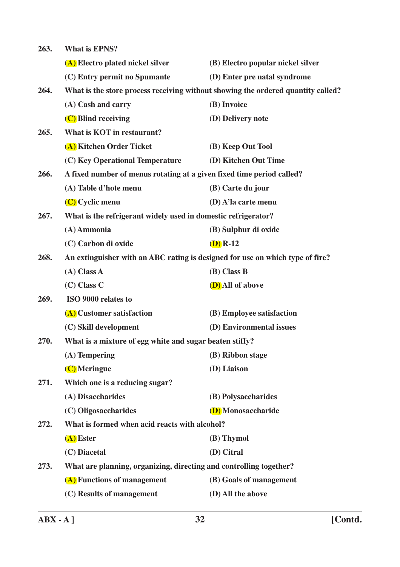**263. What is EPNS? (A) Electro plated nickel silver (B) Electro popular nickel silver (C) Entry permit no Spumante (D) Enter pre natal syndrome 264. What is the store process receiving without showing the ordered quantity called? (A) Cash and carry (B) Invoice (C) Blind receiving (D) Delivery note 265. What is KOT in restaurant? (A) Kitchen Order Ticket (B) Keep Out Tool (C) Key Operational Temperature (D) Kitchen Out Time 266. A fixed number of menus rotating at a given fixed time period called? (A) Table d'hote menu (B) Carte du jour (C) Cyclic menu (D) A'la carte menu 267. What is the refrigerant widely used in domestic refrigerator? (A) Ammonia (B) Sulphur di oxide (C) Carbon di oxide (D) R-12 268. An extinguisher with an ABC rating is designed for use on which type of fire? (A) Class A (B) Class B (C) Class C (D) All of above 269. ISO 9000 relates to (A) Customer satisfaction (B) Employee satisfaction (C) Skill development (D) Environmental issues 270. What is a mixture of egg white and sugar beaten stiffy? (A) Tempering (B) Ribbon stage (C) Meringue (D) Liaison 271. Which one is a reducing sugar? (A) Disaccharides (B) Polysaccharides (C) Oligosaccharides (D) Monosaccharide 272. What is formed when acid reacts with alcohol? (A) Ester (B) Thymol (C) Diacetal (D) Citral 273. What are planning, organizing, directing and controlling together? (A) Functions of management (B) Goals of management (C) Results of management (D) All the above**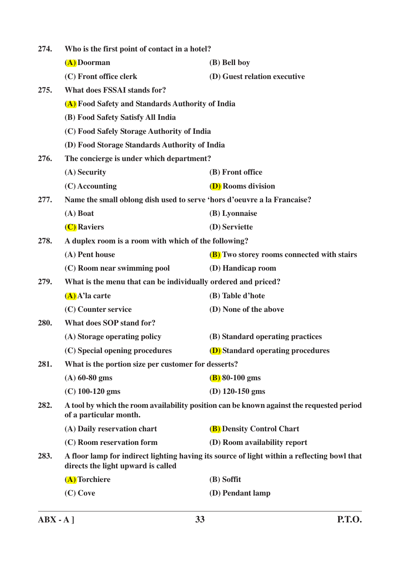| 274. | Who is the first point of contact in a hotel?                                                                      |                                                                                             |  |  |  |
|------|--------------------------------------------------------------------------------------------------------------------|---------------------------------------------------------------------------------------------|--|--|--|
|      | (A) Doorman                                                                                                        | (B) Bell boy                                                                                |  |  |  |
|      | (C) Front office clerk                                                                                             | (D) Guest relation executive                                                                |  |  |  |
| 275. | <b>What does FSSAI stands for?</b>                                                                                 |                                                                                             |  |  |  |
|      | (A) Food Safety and Standards Authority of India                                                                   |                                                                                             |  |  |  |
|      | (B) Food Safety Satisfy All India                                                                                  |                                                                                             |  |  |  |
|      | (C) Food Safely Storage Authority of India                                                                         |                                                                                             |  |  |  |
|      | (D) Food Storage Standards Authority of India                                                                      |                                                                                             |  |  |  |
| 276. | The concierge is under which department?                                                                           |                                                                                             |  |  |  |
|      | (A) Security                                                                                                       | (B) Front office                                                                            |  |  |  |
|      | $(C)$ Accounting                                                                                                   | <b>(D)</b> Rooms division                                                                   |  |  |  |
| 277. | Name the small oblong dish used to serve 'hors d'oeuvre a la Francaise?                                            |                                                                                             |  |  |  |
|      | $(A)$ Boat                                                                                                         | (B) Lyonnaise                                                                               |  |  |  |
|      | (C) Raviers                                                                                                        | (D) Serviette                                                                               |  |  |  |
| 278. | A duplex room is a room with which of the following?                                                               |                                                                                             |  |  |  |
|      | (A) Pent house                                                                                                     | <b>(B)</b> Two storey rooms connected with stairs                                           |  |  |  |
|      | (C) Room near swimming pool                                                                                        | (D) Handicap room                                                                           |  |  |  |
| 279. | What is the menu that can be individually ordered and priced?                                                      |                                                                                             |  |  |  |
|      | $(A)$ A'la carte                                                                                                   | (B) Table d'hote                                                                            |  |  |  |
|      | (C) Counter service                                                                                                | (D) None of the above                                                                       |  |  |  |
| 280. | <b>What does SOP stand for?</b>                                                                                    |                                                                                             |  |  |  |
|      | (A) Storage operating policy                                                                                       | (B) Standard operating practices                                                            |  |  |  |
|      | (C) Special opening procedures                                                                                     | <b>(D)</b> Standard operating procedures                                                    |  |  |  |
| 281. | What is the portion size per customer for desserts?                                                                |                                                                                             |  |  |  |
|      | $(A)$ 60-80 gms                                                                                                    | $(B)$ 80-100 gms                                                                            |  |  |  |
|      | $(C)$ 100-120 gms                                                                                                  | (D) $120-150$ gms                                                                           |  |  |  |
| 282. | A tool by which the room availability position can be known against the requested period<br>of a particular month. |                                                                                             |  |  |  |
|      | (A) Daily reservation chart                                                                                        | (B) Density Control Chart                                                                   |  |  |  |
|      | (C) Room reservation form                                                                                          | (D) Room availability report                                                                |  |  |  |
| 283. | directs the light upward is called                                                                                 | A floor lamp for indirect lighting having its source of light within a reflecting bowl that |  |  |  |
|      | (A) Torchiere                                                                                                      | (B) Soffit                                                                                  |  |  |  |
|      | (C) Cove                                                                                                           | (D) Pendant lamp                                                                            |  |  |  |
|      |                                                                                                                    |                                                                                             |  |  |  |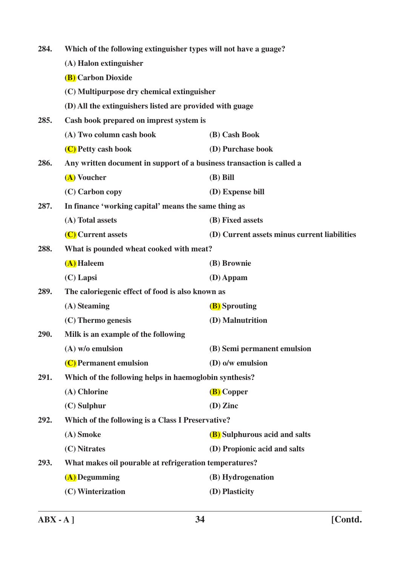| 284. | Which of the following extinguisher types will not have a guage?      |                                              |  |  |  |
|------|-----------------------------------------------------------------------|----------------------------------------------|--|--|--|
|      | (A) Halon extinguisher                                                |                                              |  |  |  |
|      | <b>(B)</b> Carbon Dioxide                                             |                                              |  |  |  |
|      | (C) Multipurpose dry chemical extinguisher                            |                                              |  |  |  |
|      | (D) All the extinguishers listed are provided with guage              |                                              |  |  |  |
| 285. | Cash book prepared on imprest system is                               |                                              |  |  |  |
|      | (A) Two column cash book                                              | (B) Cash Book                                |  |  |  |
|      | (C) Petty cash book                                                   | (D) Purchase book                            |  |  |  |
| 286. | Any written document in support of a business transaction is called a |                                              |  |  |  |
|      | (A) Voucher                                                           | $(B)$ Bill                                   |  |  |  |
|      | (C) Carbon copy                                                       | (D) Expense bill                             |  |  |  |
| 287. | In finance 'working capital' means the same thing as                  |                                              |  |  |  |
|      | (A) Total assets                                                      | (B) Fixed assets                             |  |  |  |
|      | (C) Current assets                                                    | (D) Current assets minus current liabilities |  |  |  |
| 288. | What is pounded wheat cooked with meat?                               |                                              |  |  |  |
|      | (A) Haleem                                                            | (B) Brownie                                  |  |  |  |
|      | $(C)$ Lapsi                                                           | $(D)$ Appam                                  |  |  |  |
| 289. | The caloriegenic effect of food is also known as                      |                                              |  |  |  |
|      | (A) Steaming                                                          | <b>(B)</b> Sprouting                         |  |  |  |
|      | (C) Thermo genesis                                                    | (D) Malnutrition                             |  |  |  |
| 290. | Milk is an example of the following                                   |                                              |  |  |  |
|      | (A) w/o emulsion                                                      | (B) Semi permanent emulsion                  |  |  |  |
|      | (C) Permanent emulsion                                                | (D) o/w emulsion                             |  |  |  |
| 291. | Which of the following helps in haemoglobin synthesis?                |                                              |  |  |  |
|      | (A) Chlorine                                                          | (B) Copper                                   |  |  |  |
|      | $(C)$ Sulphur                                                         | $(D)$ Zinc                                   |  |  |  |
| 292. | Which of the following is a Class I Preservative?                     |                                              |  |  |  |
|      | (A) Smoke                                                             | (B) Sulphurous acid and salts                |  |  |  |
|      | (C) Nitrates                                                          | (D) Propionic acid and salts                 |  |  |  |
| 293. | What makes oil pourable at refrigeration temperatures?                |                                              |  |  |  |
|      | (A) Degumming                                                         | (B) Hydrogenation                            |  |  |  |
|      | (C) Winterization                                                     | (D) Plasticity                               |  |  |  |
|      |                                                                       |                                              |  |  |  |